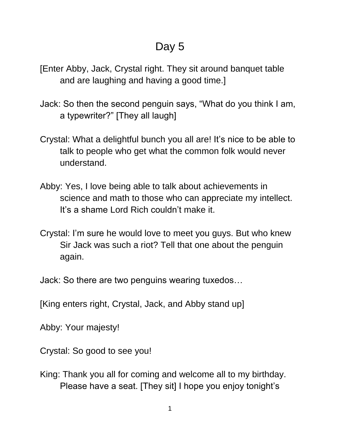## Day 5

- [Enter Abby, Jack, Crystal right. They sit around banquet table and are laughing and having a good time.]
- Jack: So then the second penguin says, "What do you think I am, a typewriter?" [They all laugh]
- Crystal: What a delightful bunch you all are! It's nice to be able to talk to people who get what the common folk would never understand.
- Abby: Yes, I love being able to talk about achievements in science and math to those who can appreciate my intellect. It's a shame Lord Rich couldn't make it.
- Crystal: I'm sure he would love to meet you guys. But who knew Sir Jack was such a riot? Tell that one about the penguin again.

Jack: So there are two penguins wearing tuxedos…

[King enters right, Crystal, Jack, and Abby stand up]

Abby: Your majesty!

Crystal: So good to see you!

King: Thank you all for coming and welcome all to my birthday. Please have a seat. [They sit] I hope you enjoy tonight's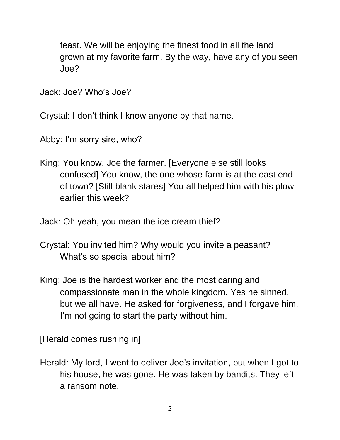feast. We will be enjoying the finest food in all the land grown at my favorite farm. By the way, have any of you seen Joe?

Jack: Joe? Who's Joe?

Crystal: I don't think I know anyone by that name.

Abby: I'm sorry sire, who?

King: You know, Joe the farmer. [Everyone else still looks confused] You know, the one whose farm is at the east end of town? [Still blank stares] You all helped him with his plow earlier this week?

Jack: Oh yeah, you mean the ice cream thief?

- Crystal: You invited him? Why would you invite a peasant? What's so special about him?
- King: Joe is the hardest worker and the most caring and compassionate man in the whole kingdom. Yes he sinned, but we all have. He asked for forgiveness, and I forgave him. I'm not going to start the party without him.

[Herald comes rushing in]

Herald: My lord, I went to deliver Joe's invitation, but when I got to his house, he was gone. He was taken by bandits. They left a ransom note.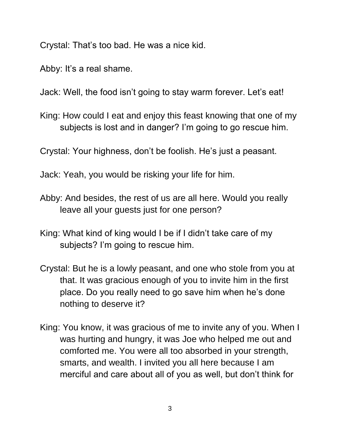Crystal: That's too bad. He was a nice kid.

Abby: It's a real shame.

Jack: Well, the food isn't going to stay warm forever. Let's eat!

King: How could I eat and enjoy this feast knowing that one of my subjects is lost and in danger? I'm going to go rescue him.

Crystal: Your highness, don't be foolish. He's just a peasant.

Jack: Yeah, you would be risking your life for him.

- Abby: And besides, the rest of us are all here. Would you really leave all your guests just for one person?
- King: What kind of king would I be if I didn't take care of my subjects? I'm going to rescue him.
- Crystal: But he is a lowly peasant, and one who stole from you at that. It was gracious enough of you to invite him in the first place. Do you really need to go save him when he's done nothing to deserve it?
- King: You know, it was gracious of me to invite any of you. When I was hurting and hungry, it was Joe who helped me out and comforted me. You were all too absorbed in your strength, smarts, and wealth. I invited you all here because I am merciful and care about all of you as well, but don't think for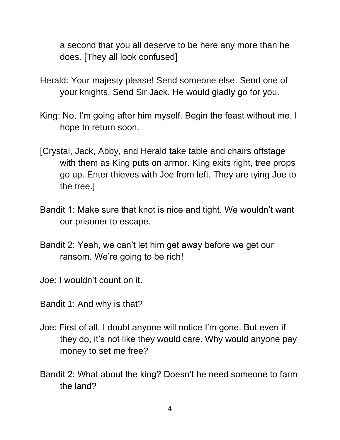a second that you all deserve to be here any more than he does. [They all look confused]

- Herald: Your majesty please! Send someone else. Send one of your knights. Send Sir Jack. He would gladly go for you.
- King: No, I'm going after him myself. Begin the feast without me. I hope to return soon.
- [Crystal, Jack, Abby, and Herald take table and chairs offstage with them as King puts on armor. King exits right, tree props go up. Enter thieves with Joe from left. They are tying Joe to the tree.]
- Bandit 1: Make sure that knot is nice and tight. We wouldn't want our prisoner to escape.
- Bandit 2: Yeah, we can't let him get away before we get our ransom. We're going to be rich!

Joe: I wouldn't count on it.

- Bandit 1: And why is that?
- Joe: First of all, I doubt anyone will notice I'm gone. But even if they do, it's not like they would care. Why would anyone pay money to set me free?
- Bandit 2: What about the king? Doesn't he need someone to farm the land?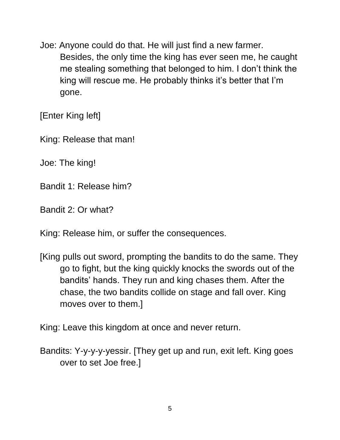Joe: Anyone could do that. He will just find a new farmer. Besides, the only time the king has ever seen me, he caught me stealing something that belonged to him. I don't think the king will rescue me. He probably thinks it's better that I'm gone.

[Enter King left]

King: Release that man!

Joe: The king!

Bandit 1: Release him?

Bandit 2: Or what?

King: Release him, or suffer the consequences.

[King pulls out sword, prompting the bandits to do the same. They go to fight, but the king quickly knocks the swords out of the bandits' hands. They run and king chases them. After the chase, the two bandits collide on stage and fall over. King moves over to them.]

King: Leave this kingdom at once and never return.

Bandits: Y-y-y-y-yessir. [They get up and run, exit left. King goes over to set Joe free.]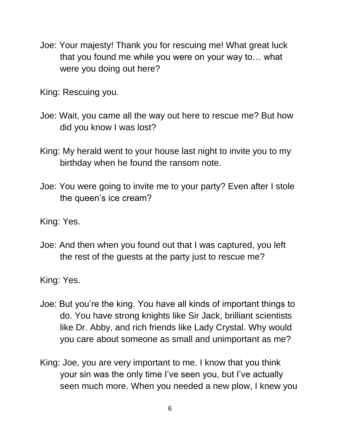Joe: Your majesty! Thank you for rescuing me! What great luck that you found me while you were on your way to… what were you doing out here?

King: Rescuing you.

- Joe: Wait, you came all the way out here to rescue me? But how did you know I was lost?
- King: My herald went to your house last night to invite you to my birthday when he found the ransom note.
- Joe: You were going to invite me to your party? Even after I stole the queen's ice cream?
- King: Yes.
- Joe: And then when you found out that I was captured, you left the rest of the guests at the party just to rescue me?

King: Yes.

- Joe: But you're the king. You have all kinds of important things to do. You have strong knights like Sir Jack, brilliant scientists like Dr. Abby, and rich friends like Lady Crystal. Why would you care about someone as small and unimportant as me?
- King: Joe, you are very important to me. I know that you think your sin was the only time I've seen you, but I've actually seen much more. When you needed a new plow, I knew you